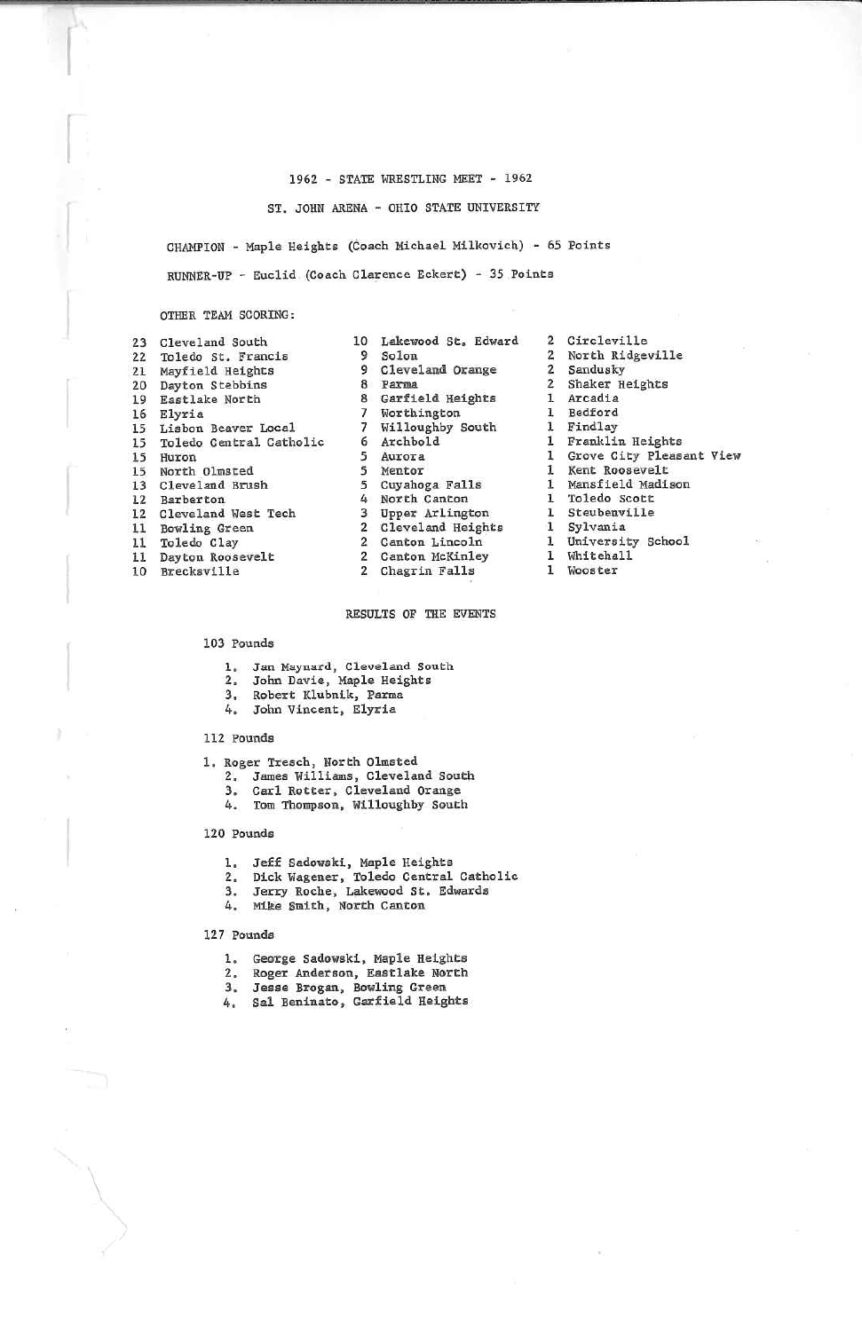### 1962 - STATE WRESTLING MEET - 1962

ST. JOHN ARENA - OHIO STATE UNIVERSITY

CHAMPION - Maple Heights (Coach Michael Milkovich) - 65 PointsRUNNER-UP - Euclid (Coach Clarence Eckert) - 35 Points

#### OTHER TEAM SCORING:

| 23 | Cleveland South         |
|----|-------------------------|
|    | 22 Toledo St. Francis   |
| 21 | Mayfield Heights        |
| 20 | Dayton Stebbins         |
| 19 | Eastlake North          |
| 16 | Elvria                  |
| 15 | Lisbon Beaver Local     |
| 15 | Toledo Central Catholic |
| 15 | Huron                   |
|    | 15 North Olmsted        |
| 13 | Cleveland Brush         |
|    | 12 Barberton            |
| 12 | Cleveland West Tech     |
| 11 | <b>Bowling Green</b>    |
| 11 | Toledo Clay             |
| 11 | Dayton Roosevelt        |
| 10 | Brecksville             |

10 Lakewood St. Edward 9 98 Parma 8 Garfield Heights 7 7 6 5Auror a 5 5 4 NorCh Canton 3 Upper ArI ing ton 2 Cleveland Heights 2 $\overline{2}$ Solon Cleveland OrangeWorth ing ton. Willoughby SouthArchbold Mentor Cuyahoga FallsCanton Lincoln 2 Canton McKinley2 Chagrin Falls

2 Circleville 2 North Ridgeville2 Sandusky<br>2 Shaker H 2 Shaker Heights1 Arcadia 1 Bedford I findlay 1 Franklin Heights 1 Grove City Pleasant ViewI Kent Roosevelt 1 Mansfield Madison1 Toledo Scott 1 Steubenville1 Sylvania l University School 1 Whitehall1 Wooster

## RESULTS OF THE EVENTS

#### 103 Pounds

- 
- 1, Jan Maynard, Cleveland South 2. John Davle, Maple Heights
- 3. Robert Klubnik, Parma

# 4. John Vincent, Elyria

# 112 Pounds

- 1, Roger Iresch, North Olmsted
	- 2. James Williams, Cleveland South
	- 3. Carl Rotter, Cleveland Orange
	- 4. Tom Thompson, Villoughby South

#### 120 Pounds

- 
- 1. Jeff Sadowski, Maple Heights<br>2. Dick Wagener, Toledo Central Catholic
- 3. Jerry Roche, Lakewood St. Edwards
- 4. Mike Smith, North Canton

## 127 Pounds

- 
- 1. George Sadovskl, Maple Heights 2. Roger Anderaon, Eastlake North
- 
- 3. Jease Brogan, Bowling Green i.. Sal Beninato, Garfield Heights